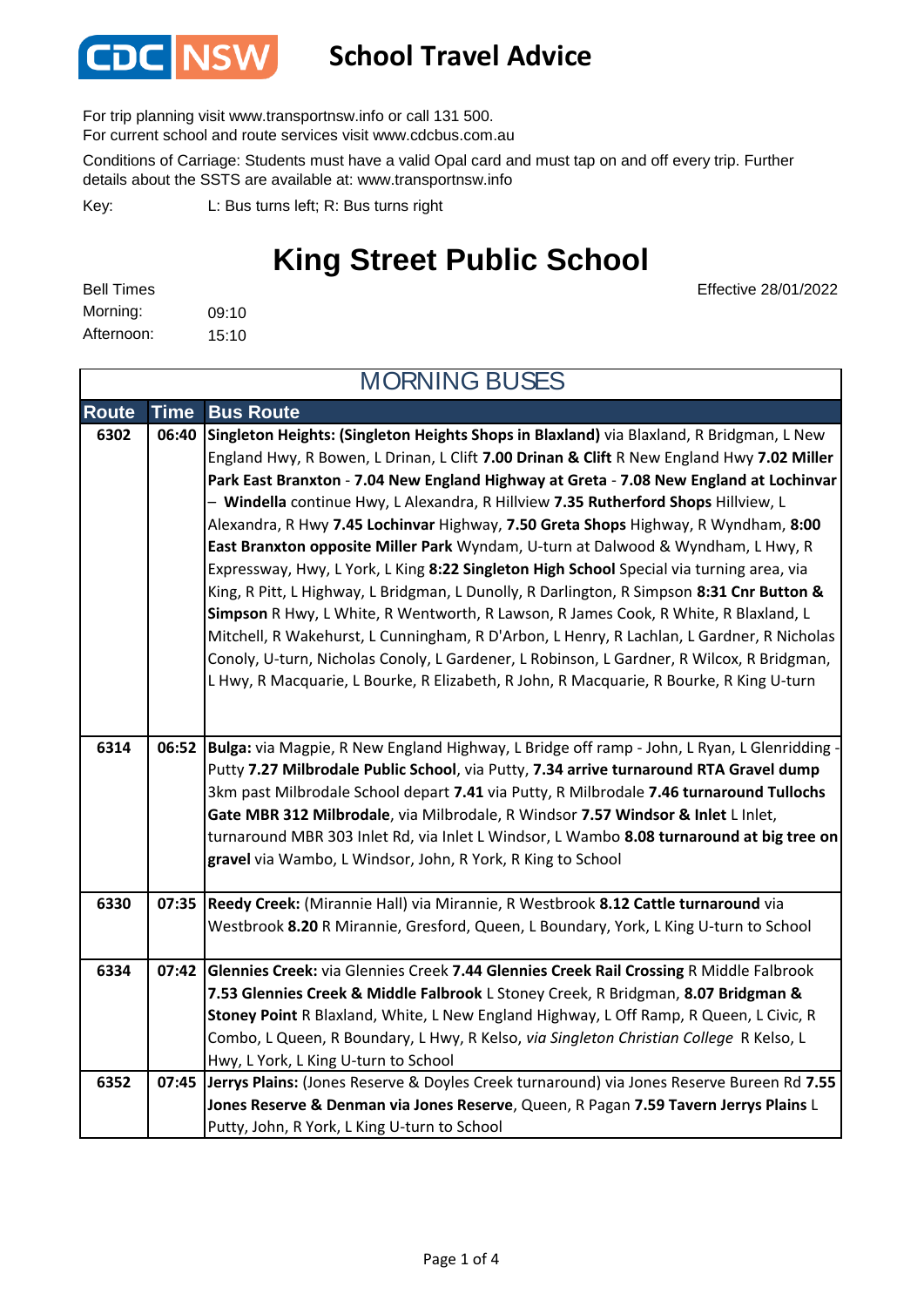

#### **School Travel Advice**

For trip planning visit www.transportnsw.info or call 131 500.

For current school and route services visit www.cdcbus.com.au

Conditions of Carriage: Students must have a valid Opal card and must tap on and off every trip. Further details about the SSTS are available at: www.transportnsw.info

L: Bus turns left; R: Bus turns right Key:

### **King Street Public School**

Effective 28/01/2022

| <b>Bell Times</b> |       |
|-------------------|-------|
| Morning:          | 09:10 |
| Afternoon:        | 15:10 |

**Route Time Bus Route 6302 06:40 Singleton Heights: (Singleton Heights Shops in Blaxland)** via Blaxland, R Bridgman, L New England Hwy, R Bowen, L Drinan, L Clift **7.00 Drinan & Clift** R New England Hwy **7.02 Miller Park East Branxton** - **7.04 New England Highway at Greta** - **7.08 New England at Lochinvar**  – **Windella** continue Hwy, L Alexandra, R Hillview **7.35 Rutherford Shops** Hillview, L Alexandra, R Hwy **7.45 Lochinvar** Highway, **7.50 Greta Shops** Highway, R Wyndham, **8:00 East Branxton opposite Miller Park** Wyndam, U-turn at Dalwood & Wyndham, L Hwy, R Expressway, Hwy, L York, L King **8:22 Singleton High School** Special via turning area, via King, R Pitt, L Highway, L Bridgman, L Dunolly, R Darlington, R Simpson **8:31 Cnr Button & Simpson** R Hwy, L White, R Wentworth, R Lawson, R James Cook, R White, R Blaxland, L Mitchell, R Wakehurst, L Cunningham, R D'Arbon, L Henry, R Lachlan, L Gardner, R Nicholas Conoly, U-turn, Nicholas Conoly, L Gardener, L Robinson, L Gardner, R Wilcox, R Bridgman, L Hwy, R Macquarie, L Bourke, R Elizabeth, R John, R Macquarie, R Bourke, R King U-turn **6314 06:52 Bulga:** via Magpie, R New England Highway, L Bridge off ramp - John, L Ryan, L Glenridding - Putty **7.27 Milbrodale Public School**, via Putty, **7.34 arrive turnaround RTA Gravel dump**  3km past Milbrodale School depart **7.41** via Putty, R Milbrodale **7.46 turnaround Tullochs Gate MBR 312 Milbrodale**, via Milbrodale, R Windsor **7.57 Windsor & Inlet** L Inlet, turnaround MBR 303 Inlet Rd, via Inlet L Windsor, L Wambo **8.08 turnaround at big tree on gravel** via Wambo, L Windsor, John, R York, R King to School **6330 07:35 Reedy Creek:** (Mirannie Hall) via Mirannie, R Westbrook **8.12 Cattle turnaround** via Westbrook **8.20** R Mirannie, Gresford, Queen, L Boundary, York, L King U-turn to School **6334 07:42 Glennies Creek:** via Glennies Creek **7.44 Glennies Creek Rail Crossing** R Middle Falbrook **7.53 Glennies Creek & Middle Falbrook** L Stoney Creek, R Bridgman, **8.07 Bridgman & Stoney Point** R Blaxland, White, L New England Highway, L Off Ramp, R Queen, L Civic, R Combo, L Queen, R Boundary, L Hwy, R Kelso, *via Singleton Christian College* R Kelso, L Hwy, L York, L King U-turn to School **6352 07:45 Jerrys Plains:** (Jones Reserve & Doyles Creek turnaround) via Jones Reserve Bureen Rd **7.55 Jones Reserve & Denman via Jones Reserve**, Queen, R Pagan **7.59 Tavern Jerrys Plains** L Putty, John, R York, L King U-turn to School MORNING BUSES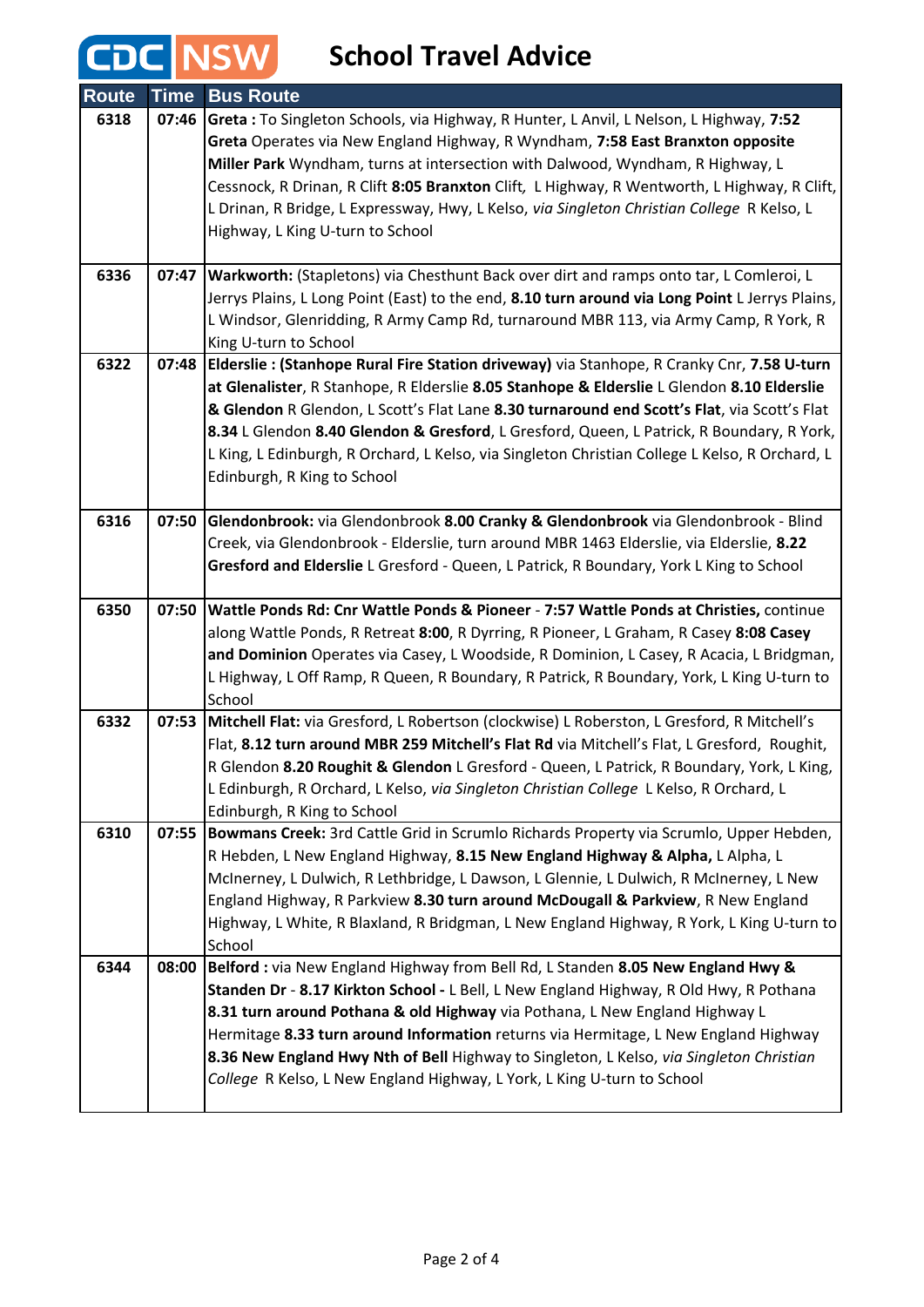# **CDC** NSW School Travel Advice

| <b>Route</b> | <b>Time</b> | <b>Bus Route</b>                                                                                                                                                                            |
|--------------|-------------|---------------------------------------------------------------------------------------------------------------------------------------------------------------------------------------------|
| 6318         | 07:46       | Greta: To Singleton Schools, via Highway, R Hunter, L Anvil, L Nelson, L Highway, 7:52                                                                                                      |
|              |             | Greta Operates via New England Highway, R Wyndham, 7:58 East Branxton opposite                                                                                                              |
|              |             | Miller Park Wyndham, turns at intersection with Dalwood, Wyndham, R Highway, L                                                                                                              |
|              |             | Cessnock, R Drinan, R Clift 8:05 Branxton Clift, L Highway, R Wentworth, L Highway, R Clift,                                                                                                |
|              |             | L Drinan, R Bridge, L Expressway, Hwy, L Kelso, via Singleton Christian College R Kelso, L                                                                                                  |
|              |             | Highway, L King U-turn to School                                                                                                                                                            |
| 6336         | 07:47       | Warkworth: (Stapletons) via Chesthunt Back over dirt and ramps onto tar, L Comleroi, L                                                                                                      |
|              |             | Jerrys Plains, L Long Point (East) to the end, 8.10 turn around via Long Point L Jerrys Plains,                                                                                             |
|              |             | L Windsor, Glenridding, R Army Camp Rd, turnaround MBR 113, via Army Camp, R York, R                                                                                                        |
|              |             | King U-turn to School                                                                                                                                                                       |
| 6322         | 07:48       | Elderslie: (Stanhope Rural Fire Station driveway) via Stanhope, R Cranky Cnr, 7.58 U-turn                                                                                                   |
|              |             | at Glenalister, R Stanhope, R Elderslie 8.05 Stanhope & Elderslie L Glendon 8.10 Elderslie                                                                                                  |
|              |             | & Glendon R Glendon, L Scott's Flat Lane 8.30 turnaround end Scott's Flat, via Scott's Flat                                                                                                 |
|              |             | 8.34 L Glendon 8.40 Glendon & Gresford, L Gresford, Queen, L Patrick, R Boundary, R York,<br>L King, L Edinburgh, R Orchard, L Kelso, via Singleton Christian College L Kelso, R Orchard, L |
|              |             | Edinburgh, R King to School                                                                                                                                                                 |
|              |             |                                                                                                                                                                                             |
| 6316         | 07:50       | Glendonbrook: via Glendonbrook 8.00 Cranky & Glendonbrook via Glendonbrook - Blind                                                                                                          |
|              |             | Creek, via Glendonbrook - Elderslie, turn around MBR 1463 Elderslie, via Elderslie, 8.22                                                                                                    |
|              |             | Gresford and Elderslie L Gresford - Queen, L Patrick, R Boundary, York L King to School                                                                                                     |
|              |             |                                                                                                                                                                                             |
| 6350         | 07:50       | Wattle Ponds Rd: Cnr Wattle Ponds & Pioneer - 7:57 Wattle Ponds at Christies, continue                                                                                                      |
|              |             | along Wattle Ponds, R Retreat 8:00, R Dyrring, R Pioneer, L Graham, R Casey 8:08 Casey                                                                                                      |
|              |             | and Dominion Operates via Casey, L Woodside, R Dominion, L Casey, R Acacia, L Bridgman,                                                                                                     |
|              |             | L Highway, L Off Ramp, R Queen, R Boundary, R Patrick, R Boundary, York, L King U-turn to<br>School                                                                                         |
| 6332         | 07:53       | Mitchell Flat: via Gresford, L Robertson (clockwise) L Roberston, L Gresford, R Mitchell's                                                                                                  |
|              |             | Flat, 8.12 turn around MBR 259 Mitchell's Flat Rd via Mitchell's Flat, L Gresford, Roughit,                                                                                                 |
|              |             | R Glendon 8.20 Roughit & Glendon L Gresford - Queen, L Patrick, R Boundary, York, L King,                                                                                                   |
|              |             | L Edinburgh, R Orchard, L Kelso, via Singleton Christian College L Kelso, R Orchard, L                                                                                                      |
|              |             | Edinburgh, R King to School                                                                                                                                                                 |
| 6310         | 07:55       | Bowmans Creek: 3rd Cattle Grid in Scrumlo Richards Property via Scrumlo, Upper Hebden,                                                                                                      |
|              |             | R Hebden, L New England Highway, 8.15 New England Highway & Alpha, L Alpha, L                                                                                                               |
|              |             | McInerney, L Dulwich, R Lethbridge, L Dawson, L Glennie, L Dulwich, R McInerney, L New                                                                                                      |
|              |             | England Highway, R Parkview 8.30 turn around McDougall & Parkview, R New England                                                                                                            |
|              |             | Highway, L White, R Blaxland, R Bridgman, L New England Highway, R York, L King U-turn to                                                                                                   |
| 6344         | 08:00       | School<br>Belford : via New England Highway from Bell Rd, L Standen 8.05 New England Hwy &                                                                                                  |
|              |             | Standen Dr - 8.17 Kirkton School - L Bell, L New England Highway, R Old Hwy, R Pothana                                                                                                      |
|              |             | 8.31 turn around Pothana & old Highway via Pothana, L New England Highway L                                                                                                                 |
|              |             | Hermitage 8.33 turn around Information returns via Hermitage, L New England Highway                                                                                                         |
|              |             | 8.36 New England Hwy Nth of Bell Highway to Singleton, L Kelso, via Singleton Christian                                                                                                     |
|              |             | College R Kelso, L New England Highway, L York, L King U-turn to School                                                                                                                     |
|              |             |                                                                                                                                                                                             |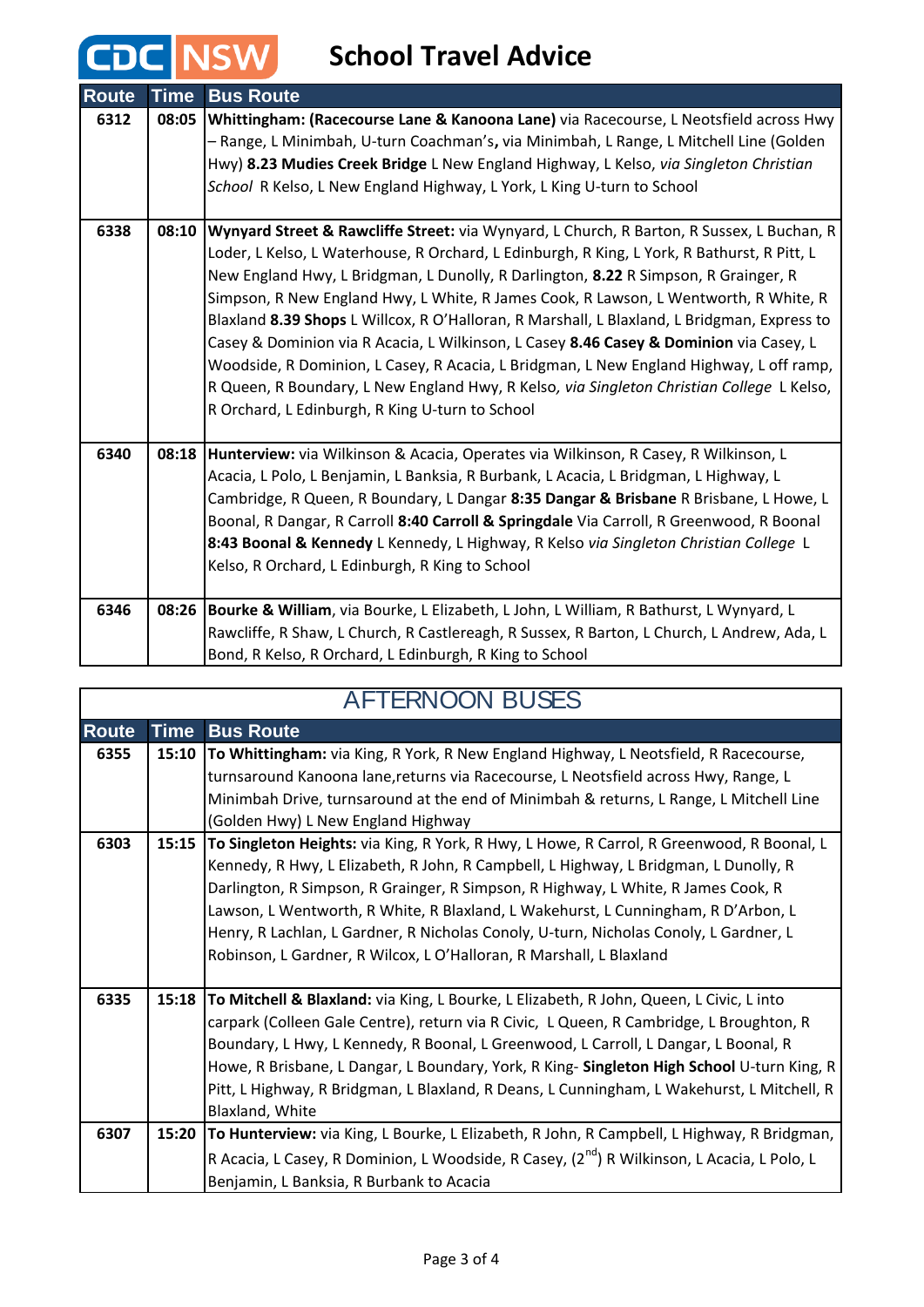#### **School Travel Advice**

CDC NSW

| <b>Route</b> | <b>Time</b> | <b>Bus Route</b>                                                                             |
|--------------|-------------|----------------------------------------------------------------------------------------------|
| 6312         | 08:05       | Whittingham: (Racecourse Lane & Kanoona Lane) via Racecourse, L Neotsfield across Hwy        |
|              |             | - Range, L Minimbah, U-turn Coachman's, via Minimbah, L Range, L Mitchell Line (Golden       |
|              |             | Hwy) 8.23 Mudies Creek Bridge L New England Highway, L Kelso, via Singleton Christian        |
|              |             | School R Kelso, L New England Highway, L York, L King U-turn to School                       |
| 6338         | 08:10       | Wynyard Street & Rawcliffe Street: via Wynyard, L Church, R Barton, R Sussex, L Buchan, R    |
|              |             | Loder, L Kelso, L Waterhouse, R Orchard, L Edinburgh, R King, L York, R Bathurst, R Pitt, L  |
|              |             | New England Hwy, L Bridgman, L Dunolly, R Darlington, 8.22 R Simpson, R Grainger, R          |
|              |             | Simpson, R New England Hwy, L White, R James Cook, R Lawson, L Wentworth, R White, R         |
|              |             | Blaxland 8.39 Shops L Willcox, R O'Halloran, R Marshall, L Blaxland, L Bridgman, Express to  |
|              |             | Casey & Dominion via R Acacia, L Wilkinson, L Casey 8.46 Casey & Dominion via Casey, L       |
|              |             | Woodside, R Dominion, L Casey, R Acacia, L Bridgman, L New England Highway, L off ramp,      |
|              |             | R Queen, R Boundary, L New England Hwy, R Kelso, via Singleton Christian College L Kelso,    |
|              |             | R Orchard, L Edinburgh, R King U-turn to School                                              |
| 6340         |             | 08:18   Hunterview: via Wilkinson & Acacia, Operates via Wilkinson, R Casey, R Wilkinson, L  |
|              |             | Acacia, L Polo, L Benjamin, L Banksia, R Burbank, L Acacia, L Bridgman, L Highway, L         |
|              |             | Cambridge, R Queen, R Boundary, L Dangar 8:35 Dangar & Brisbane R Brisbane, L Howe, L        |
|              |             | Boonal, R Dangar, R Carroll 8:40 Carroll & Springdale Via Carroll, R Greenwood, R Boonal     |
|              |             | 8:43 Boonal & Kennedy L Kennedy, L Highway, R Kelso via Singleton Christian College L        |
|              |             | Kelso, R Orchard, L Edinburgh, R King to School                                              |
|              |             |                                                                                              |
| 6346         |             | 08:26 Bourke & William, via Bourke, L Elizabeth, L John, L William, R Bathurst, L Wynyard, L |
|              |             | Rawcliffe, R Shaw, L Church, R Castlereagh, R Sussex, R Barton, L Church, L Andrew, Ada, L   |
|              |             | Bond, R Kelso, R Orchard, L Edinburgh, R King to School                                      |

## AFTERNOON BUSES

| <b>Route</b> | <b>Time</b> | <b>Bus Route</b>                                                                                        |
|--------------|-------------|---------------------------------------------------------------------------------------------------------|
| 6355         |             | 15:10   To Whittingham: via King, R York, R New England Highway, L Neotsfield, R Racecourse,            |
|              |             | turnsaround Kanoona lane, returns via Racecourse, L Neotsfield across Hwy, Range, L                     |
|              |             | Minimbah Drive, turnsaround at the end of Minimbah & returns, L Range, L Mitchell Line                  |
|              |             | (Golden Hwy) L New England Highway                                                                      |
| 6303         | 15:15       | To Singleton Heights: via King, R York, R Hwy, L Howe, R Carrol, R Greenwood, R Boonal, L               |
|              |             | Kennedy, R Hwy, L Elizabeth, R John, R Campbell, L Highway, L Bridgman, L Dunolly, R                    |
|              |             | Darlington, R Simpson, R Grainger, R Simpson, R Highway, L White, R James Cook, R                       |
|              |             | Lawson, L Wentworth, R White, R Blaxland, L Wakehurst, L Cunningham, R D'Arbon, L                       |
|              |             | Henry, R Lachlan, L Gardner, R Nicholas Conoly, U-turn, Nicholas Conoly, L Gardner, L                   |
|              |             | Robinson, L Gardner, R Wilcox, L O'Halloran, R Marshall, L Blaxland                                     |
|              |             |                                                                                                         |
| 6335         |             | 15:18   To Mitchell & Blaxland: via King, L Bourke, L Elizabeth, R John, Queen, L Civic, L into         |
|              |             | carpark (Colleen Gale Centre), return via R Civic, L Queen, R Cambridge, L Broughton, R                 |
|              |             | Boundary, L Hwy, L Kennedy, R Boonal, L Greenwood, L Carroll, L Dangar, L Boonal, R                     |
|              |             | Howe, R Brisbane, L Dangar, L Boundary, York, R King- Singleton High School U-turn King, R              |
|              |             | Pitt, L Highway, R Bridgman, L Blaxland, R Deans, L Cunningham, L Wakehurst, L Mitchell, R              |
|              |             | Blaxland, White                                                                                         |
| 6307         |             | 15:20 To Hunterview: via King, L Bourke, L Elizabeth, R John, R Campbell, L Highway, R Bridgman,        |
|              |             | R Acacia, L Casey, R Dominion, L Woodside, R Casey, (2 <sup>nd</sup> ) R Wilkinson, L Acacia, L Polo, L |
|              |             | Benjamin, L Banksia, R Burbank to Acacia                                                                |